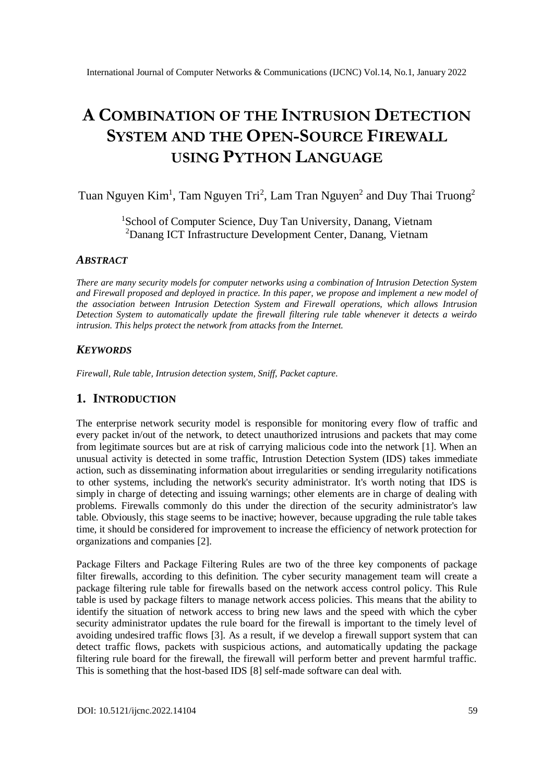# **A COMBINATION OF THE INTRUSION DETECTION SYSTEM AND THE OPEN-SOURCE FIREWALL USING PYTHON LANGUAGE**

Tuan Nguyen Kim<sup>1</sup>, Tam Nguyen Tri<sup>2</sup>, Lam Tran Nguyen<sup>2</sup> and Duy Thai Truong<sup>2</sup>

<sup>1</sup>School of Computer Science, Duy Tan University, Danang, Vietnam <sup>2</sup>Danang ICT Infrastructure Development Center, Danang, Vietnam

#### *ABSTRACT*

*There are many security models for computer networks using a combination of Intrusion Detection System and Firewall proposed and deployed in practice. In this paper, we propose and implement a new model of the association between Intrusion Detection System and Firewall operations, which allows Intrusion Detection System to automatically update the firewall filtering rule table whenever it detects a weirdo intrusion. This helps protect the network from attacks from the Internet.*

#### *KEYWORDS*

*Firewall, Rule table, Intrusion detection system, Sniff, Packet capture.*

#### **1. INTRODUCTION**

The enterprise network security model is responsible for monitoring every flow of traffic and every packet in/out of the network, to detect unauthorized intrusions and packets that may come from legitimate sources but are at risk of carrying malicious code into the network [1]. When an unusual activity is detected in some traffic, Intrustion Detection System (IDS) takes immediate action, such as disseminating information about irregularities or sending irregularity notifications to other systems, including the network's security administrator. It's worth noting that IDS is simply in charge of detecting and issuing warnings; other elements are in charge of dealing with problems. Firewalls commonly do this under the direction of the security administrator's law table. Obviously, this stage seems to be inactive; however, because upgrading the rule table takes time, it should be considered for improvement to increase the efficiency of network protection for organizations and companies [2].

Package Filters and Package Filtering Rules are two of the three key components of package filter firewalls, according to this definition. The cyber security management team will create a package filtering rule table for firewalls based on the network access control policy. This Rule table is used by package filters to manage network access policies. This means that the ability to identify the situation of network access to bring new laws and the speed with which the cyber security administrator updates the rule board for the firewall is important to the timely level of avoiding undesired traffic flows [3]. As a result, if we develop a firewall support system that can detect traffic flows, packets with suspicious actions, and automatically updating the package filtering rule board for the firewall, the firewall will perform better and prevent harmful traffic. This is something that the host-based IDS [8] self-made software can deal with.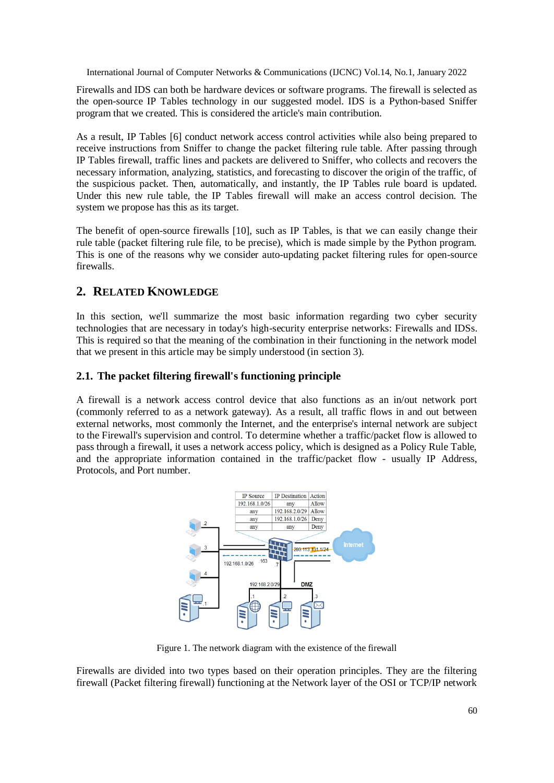Firewalls and IDS can both be hardware devices or software programs. The firewall is selected as the open-source IP Tables technology in our suggested model. IDS is a Python-based Sniffer program that we created. This is considered the article's main contribution.

As a result, IP Tables [6] conduct network access control activities while also being prepared to receive instructions from Sniffer to change the packet filtering rule table. After passing through IP Tables firewall, traffic lines and packets are delivered to Sniffer, who collects and recovers the necessary information, analyzing, statistics, and forecasting to discover the origin of the traffic, of the suspicious packet. Then, automatically, and instantly, the IP Tables rule board is updated. Under this new rule table, the IP Tables firewall will make an access control decision. The system we propose has this as its target.

The benefit of open-source firewalls [10], such as IP Tables, is that we can easily change their rule table (packet filtering rule file, to be precise), which is made simple by the Python program. This is one of the reasons why we consider auto-updating packet filtering rules for open-source firewalls.

## **2. RELATED KNOWLEDGE**

In this section, we'll summarize the most basic information regarding two cyber security technologies that are necessary in today's high-security enterprise networks: Firewalls and IDSs. This is required so that the meaning of the combination in their functioning in the network model that we present in this article may be simply understood (in section 3).

#### **2.1. The packet filtering firewall's functioning principle**

A firewall is a network access control device that also functions as an in/out network port (commonly referred to as a network gateway). As a result, all traffic flows in and out between external networks, most commonly the Internet, and the enterprise's internal network are subject to the Firewall's supervision and control. To determine whether a traffic/packet flow is allowed to pass through a firewall, it uses a network access policy, which is designed as a Policy Rule Table, and the appropriate information contained in the traffic/packet flow - usually IP Address, Protocols, and Port number.



Figure 1. The network diagram with the existence of the firewall

Firewalls are divided into two types based on their operation principles. They are the filtering firewall (Packet filtering firewall) functioning at the Network layer of the OSI or TCP/IP network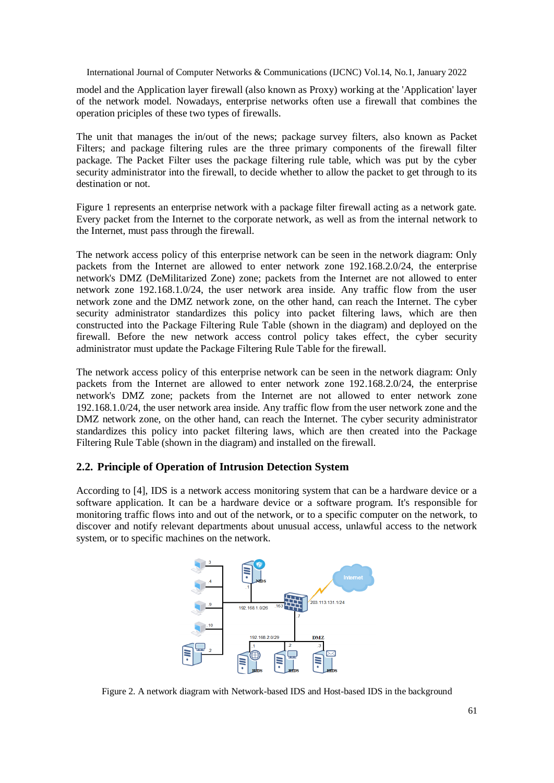model and the Application layer firewall (also known as Proxy) working at the 'Application' layer of the network model. Nowadays, enterprise networks often use a firewall that combines the operation priciples of these two types of firewalls.

The unit that manages the in/out of the news; package survey filters, also known as Packet Filters; and package filtering rules are the three primary components of the firewall filter package. The Packet Filter uses the package filtering rule table, which was put by the cyber security administrator into the firewall, to decide whether to allow the packet to get through to its destination or not.

Figure 1 represents an enterprise network with a package filter firewall acting as a network gate. Every packet from the Internet to the corporate network, as well as from the internal network to the Internet, must pass through the firewall.

The network access policy of this enterprise network can be seen in the network diagram: Only packets from the Internet are allowed to enter network zone 192.168.2.0/24, the enterprise network's DMZ (DeMilitarized Zone) zone; packets from the Internet are not allowed to enter network zone 192.168.1.0/24, the user network area inside. Any traffic flow from the user network zone and the DMZ network zone, on the other hand, can reach the Internet. The cyber security administrator standardizes this policy into packet filtering laws, which are then constructed into the Package Filtering Rule Table (shown in the diagram) and deployed on the firewall. Before the new network access control policy takes effect, the cyber security administrator must update the Package Filtering Rule Table for the firewall.

The network access policy of this enterprise network can be seen in the network diagram: Only packets from the Internet are allowed to enter network zone 192.168.2.0/24, the enterprise network's DMZ zone; packets from the Internet are not allowed to enter network zone 192.168.1.0/24, the user network area inside. Any traffic flow from the user network zone and the DMZ network zone, on the other hand, can reach the Internet. The cyber security administrator standardizes this policy into packet filtering laws, which are then created into the Package Filtering Rule Table (shown in the diagram) and installed on the firewall.

#### **2.2. Principle of Operation of Intrusion Detection System**

According to [4], IDS is a network access monitoring system that can be a hardware device or a software application. It can be a hardware device or a software program. It's responsible for monitoring traffic flows into and out of the network, or to a specific computer on the network, to discover and notify relevant departments about unusual access, unlawful access to the network system, or to specific machines on the network.



Figure 2. A network diagram with Network-based IDS and Host-based IDS in the background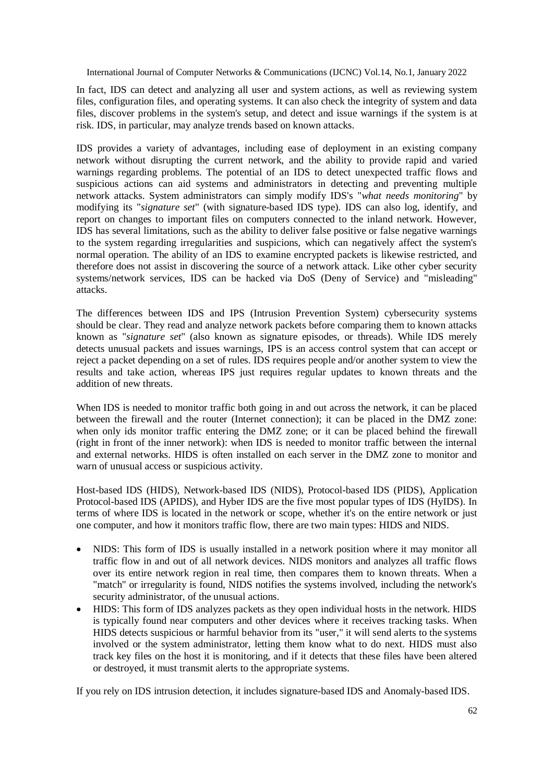In fact, IDS can detect and analyzing all user and system actions, as well as reviewing system files, configuration files, and operating systems. It can also check the integrity of system and data files, discover problems in the system's setup, and detect and issue warnings if the system is at risk. IDS, in particular, may analyze trends based on known attacks.

IDS provides a variety of advantages, including ease of deployment in an existing company network without disrupting the current network, and the ability to provide rapid and varied warnings regarding problems. The potential of an IDS to detect unexpected traffic flows and suspicious actions can aid systems and administrators in detecting and preventing multiple network attacks. System administrators can simply modify IDS's "*what needs monitoring*" by modifying its "*signature set*" (with signature-based IDS type). IDS can also log, identify, and report on changes to important files on computers connected to the inland network. However, IDS has several limitations, such as the ability to deliver false positive or false negative warnings to the system regarding irregularities and suspicions, which can negatively affect the system's normal operation. The ability of an IDS to examine encrypted packets is likewise restricted, and therefore does not assist in discovering the source of a network attack. Like other cyber security systems/network services, IDS can be hacked via DoS (Deny of Service) and "misleading" attacks.

The differences between IDS and IPS (Intrusion Prevention System) cybersecurity systems should be clear. They read and analyze network packets before comparing them to known attacks known as "*signature set*" (also known as signature episodes, or threads). While IDS merely detects unusual packets and issues warnings, IPS is an access control system that can accept or reject a packet depending on a set of rules. IDS requires people and/or another system to view the results and take action, whereas IPS just requires regular updates to known threats and the addition of new threats.

When IDS is needed to monitor traffic both going in and out across the network, it can be placed between the firewall and the router (Internet connection); it can be placed in the DMZ zone: when only ids monitor traffic entering the DMZ zone; or it can be placed behind the firewall (right in front of the inner network): when IDS is needed to monitor traffic between the internal and external networks. HIDS is often installed on each server in the DMZ zone to monitor and warn of unusual access or suspicious activity.

Host-based IDS (HIDS), Network-based IDS (NIDS), Protocol-based IDS (PIDS), Application Protocol-based IDS (APIDS), and Hyber IDS are the five most popular types of IDS (HyIDS). In terms of where IDS is located in the network or scope, whether it's on the entire network or just one computer, and how it monitors traffic flow, there are two main types: HIDS and NIDS.

- NIDS: This form of IDS is usually installed in a network position where it may monitor all traffic flow in and out of all network devices. NIDS monitors and analyzes all traffic flows over its entire network region in real time, then compares them to known threats. When a "match" or irregularity is found, NIDS notifies the systems involved, including the network's security administrator, of the unusual actions.
- HIDS: This form of IDS analyzes packets as they open individual hosts in the network. HIDS is typically found near computers and other devices where it receives tracking tasks. When HIDS detects suspicious or harmful behavior from its "user," it will send alerts to the systems involved or the system administrator, letting them know what to do next. HIDS must also track key files on the host it is monitoring, and if it detects that these files have been altered or destroyed, it must transmit alerts to the appropriate systems.

If you rely on IDS intrusion detection, it includes signature-based IDS and Anomaly-based IDS.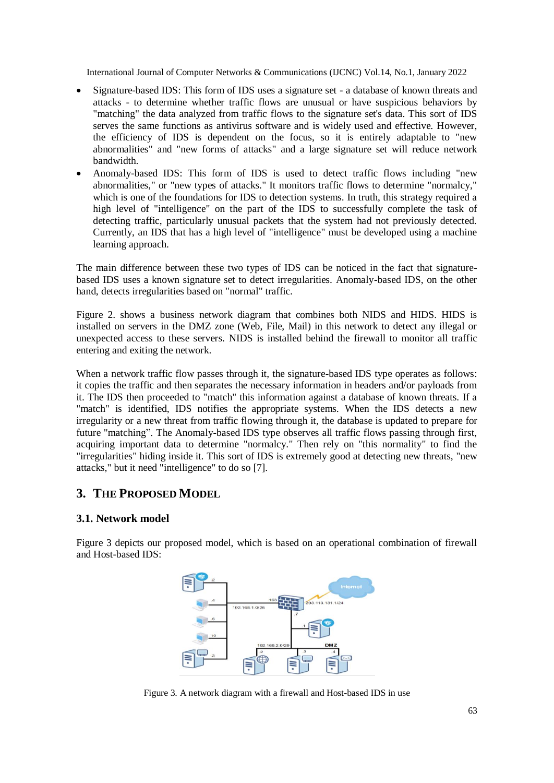- Signature-based IDS: This form of IDS uses a signature set a database of known threats and attacks - to determine whether traffic flows are unusual or have suspicious behaviors by "matching" the data analyzed from traffic flows to the signature set's data. This sort of IDS serves the same functions as antivirus software and is widely used and effective. However, the efficiency of IDS is dependent on the focus, so it is entirely adaptable to "new abnormalities" and "new forms of attacks" and a large signature set will reduce network bandwidth.
- Anomaly-based IDS: This form of IDS is used to detect traffic flows including "new abnormalities," or "new types of attacks." It monitors traffic flows to determine "normalcy," which is one of the foundations for IDS to detection systems. In truth, this strategy required a high level of "intelligence" on the part of the IDS to successfully complete the task of detecting traffic, particularly unusual packets that the system had not previously detected. Currently, an IDS that has a high level of "intelligence" must be developed using a machine learning approach.

The main difference between these two types of IDS can be noticed in the fact that signaturebased IDS uses a known signature set to detect irregularities. Anomaly-based IDS, on the other hand, detects irregularities based on "normal" traffic.

Figure 2. shows a business network diagram that combines both NIDS and HIDS. HIDS is installed on servers in the DMZ zone (Web, File, Mail) in this network to detect any illegal or unexpected access to these servers. NIDS is installed behind the firewall to monitor all traffic entering and exiting the network.

When a network traffic flow passes through it, the signature-based IDS type operates as follows: it copies the traffic and then separates the necessary information in headers and/or payloads from it. The IDS then proceeded to "match" this information against a database of known threats. If a "match" is identified, IDS notifies the appropriate systems. When the IDS detects a new irregularity or a new threat from traffic flowing through it, the database is updated to prepare for future "matching". The Anomaly-based IDS type observes all traffic flows passing through first, acquiring important data to determine "normalcy." Then rely on "this normality" to find the "irregularities" hiding inside it. This sort of IDS is extremely good at detecting new threats, "new attacks," but it need "intelligence" to do so [7].

## **3. THE PROPOSED MODEL**

#### **3.1. Network model**

Figure 3 depicts our proposed model, which is based on an operational combination of firewall and Host-based IDS:



Figure 3. A network diagram with a firewall and Host-based IDS in use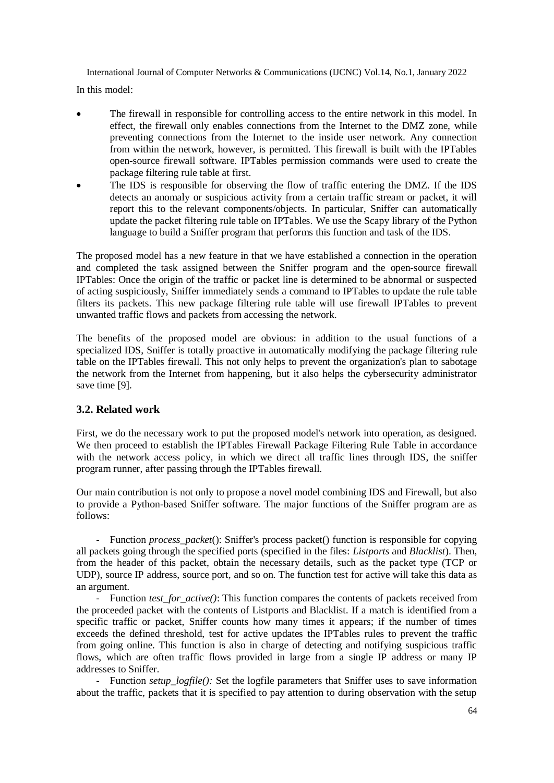In this model:

- The firewall in responsible for controlling access to the entire network in this model. In effect, the firewall only enables connections from the Internet to the DMZ zone, while preventing connections from the Internet to the inside user network. Any connection from within the network, however, is permitted. This firewall is built with the IPTables open-source firewall software. IPTables permission commands were used to create the package filtering rule table at first.
- The IDS is responsible for observing the flow of traffic entering the DMZ. If the IDS detects an anomaly or suspicious activity from a certain traffic stream or packet, it will report this to the relevant components/objects. In particular, Sniffer can automatically update the packet filtering rule table on IPTables. We use the Scapy library of the Python language to build a Sniffer program that performs this function and task of the IDS.

The proposed model has a new feature in that we have established a connection in the operation and completed the task assigned between the Sniffer program and the open-source firewall IPTables: Once the origin of the traffic or packet line is determined to be abnormal or suspected of acting suspiciously, Sniffer immediately sends a command to IPTables to update the rule table filters its packets. This new package filtering rule table will use firewall IPTables to prevent unwanted traffic flows and packets from accessing the network.

The benefits of the proposed model are obvious: in addition to the usual functions of a specialized IDS, Sniffer is totally proactive in automatically modifying the package filtering rule table on the IPTables firewall. This not only helps to prevent the organization's plan to sabotage the network from the Internet from happening, but it also helps the cybersecurity administrator save time [9].

#### **3.2. Related work**

First, we do the necessary work to put the proposed model's network into operation, as designed. We then proceed to establish the IPTables Firewall Package Filtering Rule Table in accordance with the network access policy, in which we direct all traffic lines through IDS, the sniffer program runner, after passing through the IPTables firewall.

Our main contribution is not only to propose a novel model combining IDS and Firewall, but also to provide a Python-based Sniffer software. The major functions of the Sniffer program are as follows:

- Function *process*\_*packet*(): Sniffer's process packet() function is responsible for copying all packets going through the specified ports (specified in the files: *Listports* and *Blacklist*). Then, from the header of this packet, obtain the necessary details, such as the packet type (TCP or UDP), source IP address, source port, and so on. The function test for active will take this data as an argument.

- Function *test\_for\_active()*: This function compares the contents of packets received from the proceeded packet with the contents of Listports and Blacklist. If a match is identified from a specific traffic or packet, Sniffer counts how many times it appears; if the number of times exceeds the defined threshold, test for active updates the IPTables rules to prevent the traffic from going online. This function is also in charge of detecting and notifying suspicious traffic flows, which are often traffic flows provided in large from a single IP address or many IP addresses to Sniffer.

- Function *setup logfile():* Set the logfile parameters that Sniffer uses to save information about the traffic, packets that it is specified to pay attention to during observation with the setup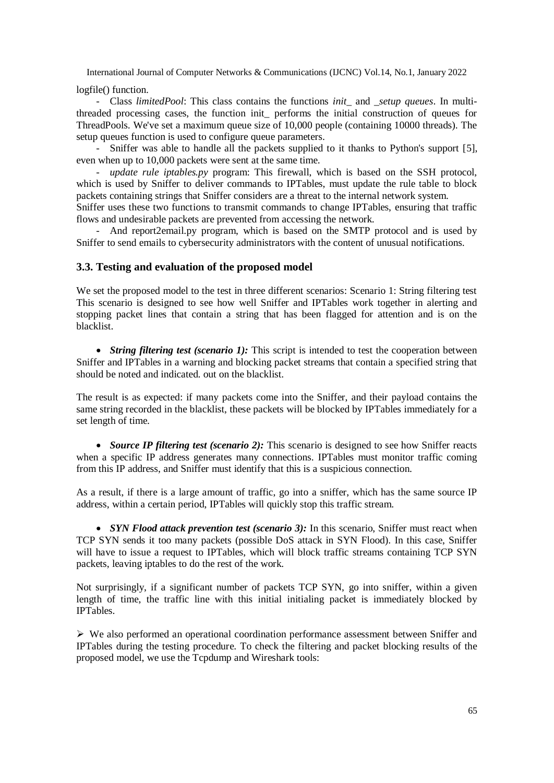logfile() function.

- Class *limitedPool*: This class contains the functions *init*\_ and \_*setup queues*. In multithreaded processing cases, the function init\_ performs the initial construction of queues for ThreadPools. We've set a maximum queue size of 10,000 people (containing 10000 threads). The setup queues function is used to configure queue parameters.

- Sniffer was able to handle all the packets supplied to it thanks to Python's support [5], even when up to 10,000 packets were sent at the same time.

update rule iptables.py program: This firewall, which is based on the SSH protocol, which is used by Sniffer to deliver commands to IPTables, must update the rule table to block packets containing strings that Sniffer considers are a threat to the internal network system.

Sniffer uses these two functions to transmit commands to change IPTables, ensuring that traffic flows and undesirable packets are prevented from accessing the network.

- And report2email.py program, which is based on the SMTP protocol and is used by Sniffer to send emails to cybersecurity administrators with the content of unusual notifications.

#### **3.3. Testing and evaluation of the proposed model**

We set the proposed model to the test in three different scenarios: Scenario 1: String filtering test This scenario is designed to see how well Sniffer and IPTables work together in alerting and stopping packet lines that contain a string that has been flagged for attention and is on the blacklist.

• *String filtering test (scenario 1):* This script is intended to test the cooperation between Sniffer and IPTables in a warning and blocking packet streams that contain a specified string that should be noted and indicated. out on the blacklist.

The result is as expected: if many packets come into the Sniffer, and their payload contains the same string recorded in the blacklist, these packets will be blocked by IPTables immediately for a set length of time.

• *Source IP filtering test (scenario 2):* This scenario is designed to see how Sniffer reacts when a specific IP address generates many connections. IPTables must monitor traffic coming from this IP address, and Sniffer must identify that this is a suspicious connection.

As a result, if there is a large amount of traffic, go into a sniffer, which has the same source IP address, within a certain period, IPTables will quickly stop this traffic stream.

• *SYN Flood attack prevention test (scenario 3):* In this scenario, Sniffer must react when TCP SYN sends it too many packets (possible DoS attack in SYN Flood). In this case, Sniffer will have to issue a request to IPTables, which will block traffic streams containing TCP SYN packets, leaving iptables to do the rest of the work.

Not surprisingly, if a significant number of packets TCP SYN, go into sniffer, within a given length of time, the traffic line with this initial initialing packet is immediately blocked by IPTables.

 $\triangleright$  We also performed an operational coordination performance assessment between Sniffer and IPTables during the testing procedure. To check the filtering and packet blocking results of the proposed model, we use the Tcpdump and Wireshark tools: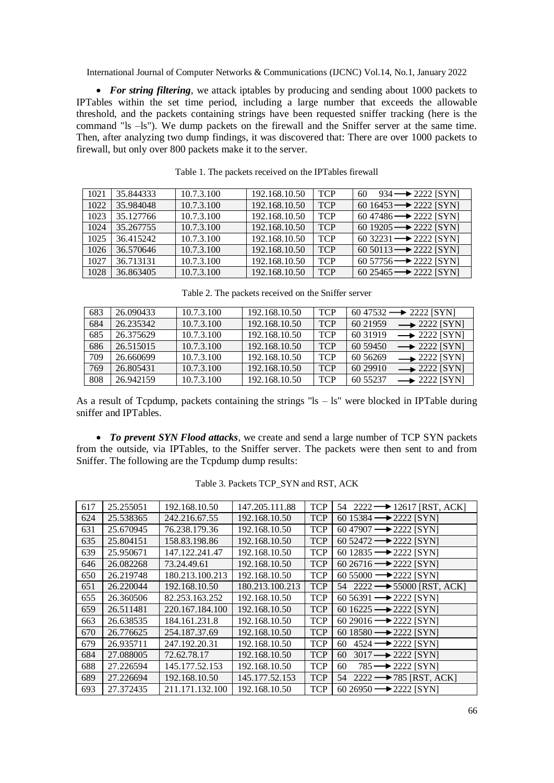• For string filtering, we attack iptables by producing and sending about 1000 packets to IPTables within the set time period, including a large number that exceeds the allowable threshold, and the packets containing strings have been requested sniffer tracking (here is the command "ls –ls"). We dump packets on the firewall and the Sniffer server at the same time. Then, after analyzing two dump findings, it was discovered that: There are over 1000 packets to firewall, but only over 800 packets make it to the server.

| 1021 | 35.844333 | 10.7.3.100 | 192.168.10.50 | <b>TCP</b> | $934 \rightarrow 2222$ [SYN]<br>60     |
|------|-----------|------------|---------------|------------|----------------------------------------|
| 1022 | 35.984048 | 10.7.3.100 | 192.168.10.50 | <b>TCP</b> | 60 16453 $\rightarrow$ 2222 [SYN]      |
| 1023 | 35.127766 | 10.7.3.100 | 192.168.10.50 | <b>TCP</b> | $60\,47486 \longrightarrow 2222$ [SYN] |
| 1024 | 35.267755 | 10.7.3.100 | 192.168.10.50 | <b>TCP</b> | 60 19205 $\rightarrow$ 2222 [SYN]      |
| 1025 | 36.415242 | 10.7.3.100 | 192.168.10.50 | <b>TCP</b> | 60 32231 $\rightarrow$ 2222 [SYN]      |
| 1026 | 36.570646 | 10.7.3.100 | 192.168.10.50 | <b>TCP</b> | 60 50113 $\rightarrow$ 2222 [SYN]      |
| 1027 | 36.713131 | 10.7.3.100 | 192.168.10.50 | <b>TCP</b> | $60\,57756 \longrightarrow 2222$ [SYN] |
| 1028 | 36.863405 | 10.7.3.100 | 192.168.10.50 | <b>TCP</b> | 60 25465 $\rightarrow$ 2222 [SYN]      |

Table 1. The packets received on the IPTables firewall

| 683 | 26.090433 | 10.7.3.100 | 192.168.10.50 | <b>TCP</b> | $60\,47532 \longrightarrow 2222$ [SYN]   |
|-----|-----------|------------|---------------|------------|------------------------------------------|
| 684 | 26.235342 | 10.7.3.100 | 192.168.10.50 | <b>TCP</b> | $\rightarrow$ 2222 [SYN]<br>60 21959     |
| 685 | 26.375629 | 10.7.3.100 | 192.168.10.50 | <b>TCP</b> | 60 31 91 9<br>$\rightarrow$ 2222 [SYN]   |
| 686 | 26.515015 | 10.7.3.100 | 192.168.10.50 | <b>TCP</b> | $\rightarrow$ 2222 [SYN]<br>60 59450     |
| 709 | 26.660699 | 10.7.3.100 | 192.168.10.50 | <b>TCP</b> | $\rightarrow$ 2222 [SYN]<br>60 5 6 2 6 9 |
| 769 | 26.805431 | 10.7.3.100 | 192.168.10.50 | <b>TCP</b> | 60 29 910<br>$\rightarrow$ 2222 [SYN]    |
| 808 | 26.942159 | 10.7.3.100 | 192.168.10.50 | <b>TCP</b> | 60 55237<br>$\rightarrow$ 2222 [SYN]     |

Table 2. The packets received on the Sniffer server

As a result of Tcpdump, packets containing the strings " $ls - ls$ " were blocked in IPTable during sniffer and IPTables.

 *To prevent SYN Flood attacks*, we create and send a large number of TCP SYN packets from the outside, via IPTables, to the Sniffer server. The packets were then sent to and from Sniffer. The following are the Tcpdump dump results:

| 617 | 25.255051 | 192.168.10.50   | 147.205.111.88  | <b>TCP</b> | 54 2222 $\rightarrow$ 12617 [RST, ACK]  |
|-----|-----------|-----------------|-----------------|------------|-----------------------------------------|
| 624 | 25.538365 | 242.216.67.55   | 192.168.10.50   | <b>TCP</b> | 60 15384 $\rightarrow$ 2222 [SYN]       |
| 631 | 25.670945 | 76.238.179.36   | 192.168.10.50   | <b>TCP</b> | $60\,47907 \longrightarrow 2222$ [SYN]  |
| 635 | 25.804151 | 158.83.198.86   | 192.168.10.50   | <b>TCP</b> | 60 52472 $\rightarrow$ 2222 [SYN]       |
| 639 | 25.950671 | 147.122.241.47  | 192.168.10.50   | <b>TCP</b> | 60 12835 $\rightarrow$ 2222 [SYN]       |
| 646 | 26.082268 | 73.24.49.61     | 192.168.10.50   | <b>TCP</b> | $60\,26716 \longrightarrow 2222$ [SYN]  |
| 650 | 26.219748 | 180.213.100.213 | 192.168.10.50   | <b>TCP</b> | $60\,55000 \longrightarrow 2222$ [SYN]  |
| 651 | 26.220044 | 192.168.10.50   | 180.213.100.213 | <b>TCP</b> | 54 2222 $\rightarrow$ 55000 [RST, ACK]  |
| 655 | 26.360506 | 82.253.163.252  | 192.168.10.50   | <b>TCP</b> | $60\,56391 \longrightarrow 2222$ [SYN]  |
| 659 | 26.511481 | 220.167.184.100 | 192.168.10.50   | <b>TCP</b> | 60 16225 $\rightarrow$ 2222 [SYN]       |
| 663 | 26.638535 | 184.161.231.8   | 192.168.10.50   | <b>TCP</b> | 60 29016 $\rightarrow$ 2222 [SYN]       |
| 670 | 26.776625 | 254.187.37.69   | 192.168.10.50   | <b>TCP</b> | 60 18580 $\longrightarrow$ 2222 [SYN]   |
| 679 | 26.935711 | 247.192.20.31   | 192.168.10.50   | <b>TCP</b> | $4524 \rightarrow 2222$ [SYN]<br>60     |
| 684 | 27.088005 | 72.62.78.17     | 192.168.10.50   | <b>TCP</b> | $3017 \rightarrow 2222$ [SYN]<br>60     |
| 688 | 27.226594 | 145.177.52.153  | 192.168.10.50   | <b>TCP</b> | $785 \rightarrow 2222$ [SYN]<br>60      |
| 689 | 27.226694 | 192.168.10.50   | 145.177.52.153  | <b>TCP</b> | $2222 \rightarrow 785$ [RST, ACK]<br>54 |
| 693 | 27.372435 | 211.171.132.100 | 192.168.10.50   | <b>TCP</b> | 60 26950 $\rightarrow$ 2222 [SYN]       |

Table 3. Packets TCP\_SYN and RST, ACK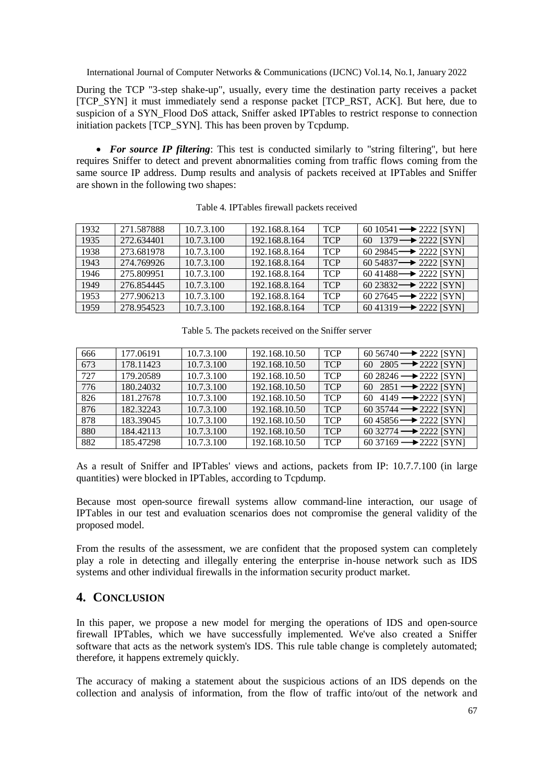During the TCP "3-step shake-up", usually, every time the destination party receives a packet [TCP\_SYN] it must immediately send a response packet [TCP\_RST, ACK]. But here, due to suspicion of a SYN\_Flood DoS attack, Sniffer asked IPTables to restrict response to connection initiation packets [TCP\_SYN]. This has been proven by Tcpdump.

• For source IP filtering: This test is conducted similarly to "string filtering", but here requires Sniffer to detect and prevent abnormalities coming from traffic flows coming from the same source IP address. Dump results and analysis of packets received at IPTables and Sniffer are shown in the following two shapes:

| 1932 | 271.587888 | 10.7.3.100 | 192.168.8.164 | <b>TCP</b> | 60 10541 $\rightarrow$ 2222 [SYN]      |
|------|------------|------------|---------------|------------|----------------------------------------|
| 1935 | 272.634401 | 10.7.3.100 | 192.168.8.164 | <b>TCP</b> | $1379 \rightarrow 2222$ [SYN]<br>60    |
| 1938 | 273.681978 | 10.7.3.100 | 192.168.8.164 | <b>TCP</b> | $60\,29845 \longrightarrow 2222$ [SYN] |
| 1943 | 274.769926 | 10.7.3.100 | 192.168.8.164 | <b>TCP</b> | $60\,54837 \rightarrow 2222$ [SYN]     |
| 1946 | 275.809951 | 10.7.3.100 | 192.168.8.164 | <b>TCP</b> | $60\,41488 \longrightarrow 2222$ [SYN] |
| 1949 | 276.854445 | 10.7.3.100 | 192.168.8.164 | <b>TCP</b> | 60 23832 $\rightarrow$ 2222 [SYN]      |
| 1953 | 277.906213 | 10.7.3.100 | 192.168.8.164 | <b>TCP</b> | $60\,27645 \longrightarrow 2222$ [SYN] |
| 1959 | 278.954523 | 10.7.3.100 | 192.168.8.164 | <b>TCP</b> | $60\,41319 \longrightarrow 2222$ [SYN] |

Table 4. IPTables firewall packets received

| Table 5. The packets received on the Sniffer server |
|-----------------------------------------------------|
|                                                     |

| 666 | 177.06191 | 10.7.3.100 | 192.168.10.50 | <b>TCP</b> | $60\,56740 \longrightarrow 2222$ [SYN] |
|-----|-----------|------------|---------------|------------|----------------------------------------|
| 673 | 178.11423 | 10.7.3.100 | 192.168.10.50 | <b>TCP</b> | 60 2805 $\rightarrow$ 2222 [SYN]       |
| 727 | 179.20589 | 10.7.3.100 | 192.168.10.50 | <b>TCP</b> | 60 28246 $\rightarrow$ 2222 [SYN]      |
| 776 | 180.24032 | 10.7.3.100 | 192.168.10.50 | <b>TCP</b> | 60 2851 $\rightarrow$ 2222 [SYN]       |
| 826 | 181.27678 | 10.7.3.100 | 192.168.10.50 | <b>TCP</b> | $4149 \rightarrow 2222$ [SYN]<br>60    |
| 876 | 182.32243 | 10.7.3.100 | 192.168.10.50 | <b>TCP</b> | 60 35744 $\rightarrow$ 2222 [SYN]      |
| 878 | 183.39045 | 10.7.3.100 | 192.168.10.50 | <b>TCP</b> | $60\,45856 \longrightarrow 2222$ [SYN] |
| 880 | 184.42113 | 10.7.3.100 | 192.168.10.50 | <b>TCP</b> | 60 32774 $\rightarrow$ 2222 [SYN]      |
| 882 | 185.47298 | 10.7.3.100 | 192.168.10.50 | <b>TCP</b> | $60\,37169 \longrightarrow 2222$ [SYN] |

As a result of Sniffer and IPTables' views and actions, packets from IP: 10.7.7.100 (in large quantities) were blocked in IPTables, according to Tcpdump.

Because most open-source firewall systems allow command-line interaction, our usage of IPTables in our test and evaluation scenarios does not compromise the general validity of the proposed model.

From the results of the assessment, we are confident that the proposed system can completely play a role in detecting and illegally entering the enterprise in-house network such as IDS systems and other individual firewalls in the information security product market.

## **4. CONCLUSION**

In this paper, we propose a new model for merging the operations of IDS and open-source firewall IPTables, which we have successfully implemented. We've also created a Sniffer software that acts as the network system's IDS. This rule table change is completely automated; therefore, it happens extremely quickly.

The accuracy of making a statement about the suspicious actions of an IDS depends on the collection and analysis of information, from the flow of traffic into/out of the network and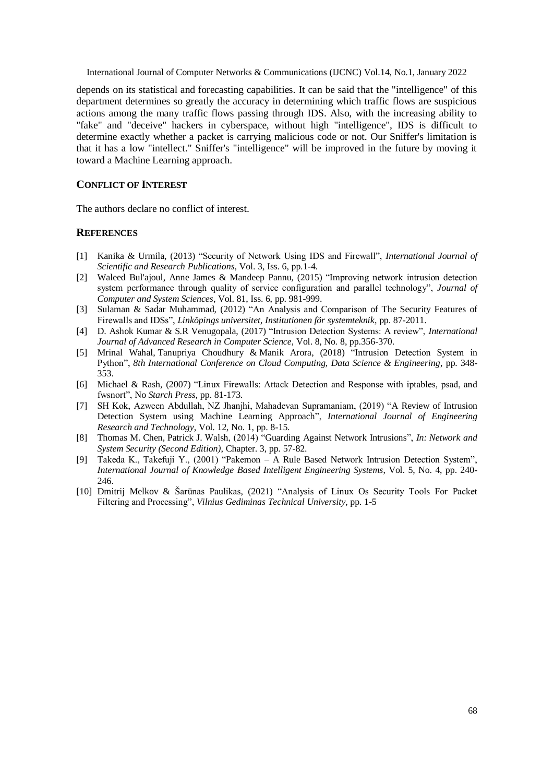depends on its statistical and forecasting capabilities. It can be said that the "intelligence" of this department determines so greatly the accuracy in determining which traffic flows are suspicious actions among the many traffic flows passing through IDS. Also, with the increasing ability to "fake" and "deceive" hackers in cyberspace, without high "intelligence", IDS is difficult to determine exactly whether a packet is carrying malicious code or not. Our Sniffer's limitation is that it has a low "intellect." Sniffer's "intelligence" will be improved in the future by moving it toward a Machine Learning approach.

#### **CONFLICT OF INTEREST**

The authors declare no conflict of interest.

#### **REFERENCES**

- [1] Kanika & Urmila, (2013) "Security of Network Using IDS and Firewall", *International Journal of Scientific and Research Publications*, Vol. 3, Iss. 6, pp.1-4.
- [2] [Waleed Bul'ajoul, Anne James &](https://www.sciencedirect.com/science/article/pii/S0022000014001767#!) [Mandeep Pannu,](https://www.sciencedirect.com/science/article/pii/S0022000014001767#!) (2015) "Improving network intrusion detection system performance through quality of service configuration and parallel technology", *[Journal of](https://www.sciencedirect.com/science/journal/00220000)  [Computer and System Sciences](https://www.sciencedirect.com/science/journal/00220000)*, Vol. 81, Iss. 6, pp. 981-999.
- [3] Sulaman & Sadar Muhammad, (2012) "An Analysis and Comparison of The Security Features of Firewalls and IDSs", *Linköpings universitet, Institutionen för systemteknik*, pp. 87-2011.
- [4] D. Ashok Kumar & S.R Venugopala, (2017) "Intrusion Detection Systems: A review", *International Journal of Advanced Research in Computer Science*, Vol. 8, No. 8, pp.356-370.
- [5] [Mrinal Wahal,](https://ieeexplore.ieee.org/author/37086440950) [Tanupriya Choudhury](https://ieeexplore.ieee.org/author/37085794967) & [Manik Arora,](https://ieeexplore.ieee.org/author/37086437420) (2018) "Intrusion Detection System in Python", *[8th International Conference on Cloud Computing, Data Science & Engineering](https://ieeexplore.ieee.org/xpl/conhome/8421099/proceeding)*, pp. 348- 353.
- [6] Michael & Rash, (2007) "Linux Firewalls: Attack Detection and Response with iptables, psad, and fwsnort", No *Starch Press,* pp. 81-173.
- [7] SH Kok, Azween Abdullah, NZ Jhanjhi, Mahadevan Supramaniam, (2019) "A Review of Intrusion Detection System using Machine Learning Approach", *International Journal of Engineering Research and Technology*, Vol. 12, No. 1, pp. 8-15.
- [8] Thomas M. Chen, Patrick J. Walsh, (2014) ["Guarding Against Network Intrusions"](https://www.sciencedirect.com/science/article/pii/B9780124166899000034), *In: [Network and](https://www.sciencedirect.com/book/9780124166899/network-and-system-security)  [System Security \(Second Edition\)](https://www.sciencedirect.com/book/9780124166899/network-and-system-security)*, Chapter. 3, pp. 57-82.
- [9] Takeda K., Takefuji Y., (2001) "Pakemon A Rule Based Network Intrusion Detection System", *International Journal of Knowledge Based Intelligent Engineering Systems*, Vol. 5, No. 4, pp. 240- 246.
- [10] [Dmitrij Melkov](https://journals.vgtu.lt/index.php/MLA/search/search?field=author&criteria=Dmitrij%20Melkov) & [Šarūnas Paulikas,](https://journals.vgtu.lt/index.php/MLA/search/search?field=author&criteria=%C5%A0ar%C5%ABnas%20Paulikas) (2021) "Analysis of Linux Os Security Tools For Packet Filtering and Processing", *Vilnius Gediminas Technical University*, pp. 1-5